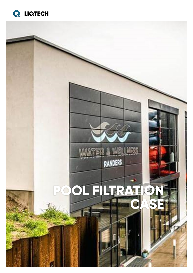

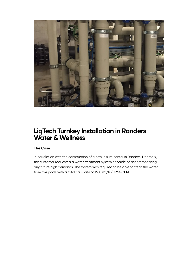

### **LiqTech Turnkey Installation in Randers Water & Wellness**

#### **The Case**

In correlation with the construction of a new leisure center in Randers, Denmark, the customer requested a water treatment system capable of accommodating any future high demands. The system was required to be able to treat the water from five pools with a total capacity of 1650 m<sup>3</sup>/h / 7264 GPM.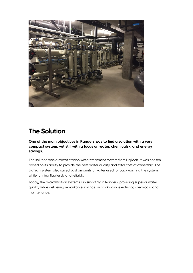

### **The Solution**

**One of the main objectives in Randers was to find a solution with a very compact system, yet still with a focus on water, chemicals-, and energy savings.**

The solution was a microfiltration water treatment system from LiqTech. It was chosen based on its ability to provide the best water quality and total cost of ownership. The LiqTech system also saved vast amounts of water used for backwashing the system, while running flawlessly and reliably.

Today, the microfiltration systems run smoothly in Randers, providing superior water quality while delivering remarkable savings on backwash, electricity, chemicals, and maintenance.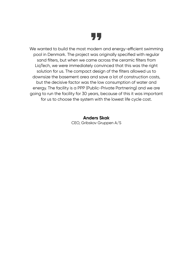

We wanted to build the most modern and energy-efficient swimming pool in Denmark. The project was originally specified with regular sand filters, but when we came across the ceramic filters from LiqTech, we were immediately convinced that this was the right solution for us. The compact design of the filters allowed us to downsize the basement area and save a lot of construction costs, but the decisive factor was the low consumption of water and energy. The facility is a PPP (Public-Private Partnering) and we are going to run the facility for 30 years, because of this it was important for us to choose the system with the lowest life cycle cost.

> **Anders Skak** CEO, Gribskov Gruppen A/S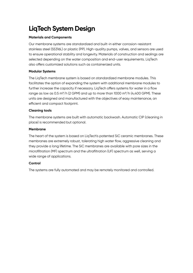# **LiqTech System Design**

#### **Materials and Components**

Our membrane systems are standardized and built-in either corrosion-resistant stainless steel (SS316L) or plastic (PP). High-quality pumps, valves, and sensors are used to ensure operational stability and longevity. Materials of construction and sealings are selected depending on the water composition and end-user requirements. LiqTech also offers customized solutions such as containerized units.

#### **Modular Systems**

The LiqTech membrane system is based on standardized membrane modules. This facilitates the option of expanding the system with additional membrane modules to further increase the capacity if necessary. LiqTech offers systems for water in a flow range as low as 0.5 m<sup>3</sup>/h (2 GPM) and up to more than 1000 m<sup>3</sup>/h (4,400 GPM). These units are designed and manufactured with the objectives of easy maintenance, an efficient and compact footprint.

#### **Cleaning tools**

The membrane systems are built with automatic backwash. Automatic CIP (cleaning in place) is recommended but optional.

#### **Membrane**

The heart of the system is based on LiqTech's patented SiC ceramic membranes. These membranes are extremely robust, tolerating high water flow, aggressive cleaning and they provide a long lifetime. The SiC membranes are available with pore sizes in the microfiltration (MF) spectrum and the ultrafiltration (UF) spectrum as well, serving a wide range of applications.

#### **Control**

The systems are fully automated and may be remotely monitored and controlled.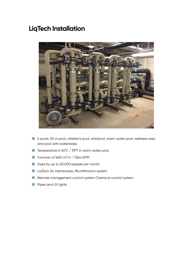## **LiqTech Installation**



- 5 pools: 50 m pool, children's pool, whirlpool, warm water pool, wellness area and pool with waterslides
- Temperature is 34°C / 93°F in warm water pool
- Turnover of 1650 m<sup>3</sup>/h / 7264 GPM  $\Box$
- Used by up to 20.000 people per month.
- LiqTech 54 membranes, Microfiltration system  $\mathcal{L}_{\mathcal{A}}$
- Remote management control system Chemical control system
- **Pipes and UV lights**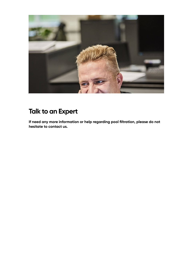

## **Talk to an Expert**

**If need any more information or help regarding pool filtration, please do not hesitate to contact us.**